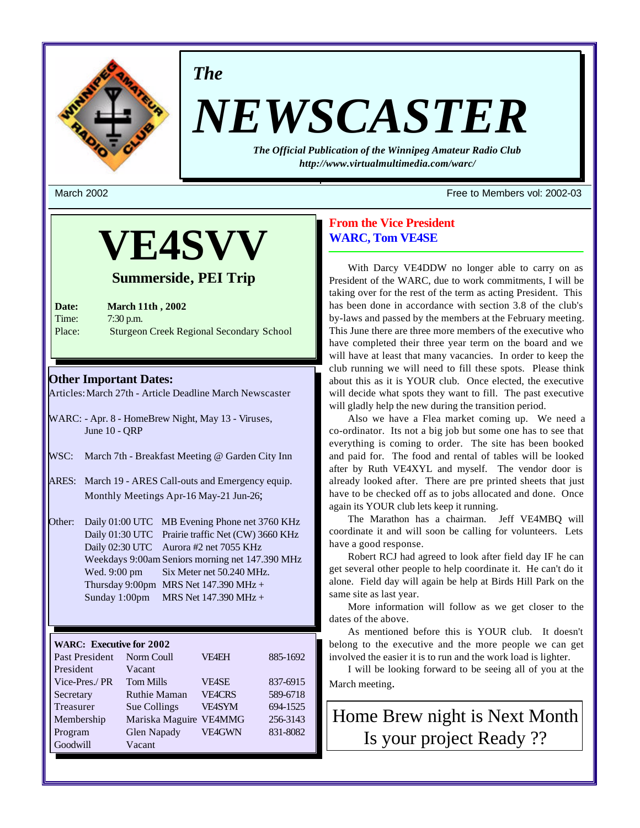

## *The*

# *NEWSCASTER*

*The Official Publication of the Winnipeg Amateur Radio Club http://www.virtualmultimedia.com/warc/*

## **VE4SVV**

#### **Summerside, PEI Trip**

**Date: March 11th , 2002** Time: 7:30 p.m. Place: Sturgeon Creek Regional Secondary School

#### **Other Important Dates:**

Articles: March 27th - Article Deadline March Newscaster

- WARC: Apr. 8 HomeBrew Night, May 13 Viruses, June 10 - QRP
- WSC: March 7th Breakfast Meeting @ Garden City Inn
- ARES: March 19 ARES Call-outs and Emergency equip. Monthly Meetings Apr-16 May-21 Jun-26;
- Other: Daily 01:00 UTC MB Evening Phone net 3760 KHz Daily 01:30 UTC Prairie traffic Net (CW) 3660 KHz Daily 02:30 UTC Aurora #2 net 7055 KHz Weekdays 9:00am Seniors morning net 147.390 MHz Wed. 9:00 pm Six Meter net 50.240 MHz. Thursday 9:00pm MRS Net  $147.390$  MHz + Sunday 1:00pm MRS Net 147.390 MHz +

#### **WARC: Executive for 2002**

| Past President | Norm Coull             | <b>VF4EH</b>  | 885-1692 |
|----------------|------------------------|---------------|----------|
| President      | Vacant                 |               |          |
| Vice-Pres./PR  | <b>Tom Mills</b>       | <b>VEASE</b>  | 837-6915 |
| Secretary      | <b>Ruthie Maman</b>    | <b>VE4CRS</b> | 589-6718 |
| Treasurer      | Sue Collings           | <b>VE4SYM</b> | 694-1525 |
| Membership     | Mariska Maguire VE4MMG |               | 256-3143 |
| Program        | <b>Glen Napady</b>     | <b>VE4GWN</b> | 831-8082 |
| Goodwill       | Vacant                 |               |          |

#### March 2002 Free to Members vol: 2002-03

#### **From the Vice President WARC, Tom VE4SE**

With Darcy VE4DDW no longer able to carry on as President of the WARC, due to work commitments, I will be taking over for the rest of the term as acting President. This has been done in accordance with section 3.8 of the club's by-laws and passed by the members at the February meeting. This June there are three more members of the executive who have completed their three year term on the board and we will have at least that many vacancies. In order to keep the club running we will need to fill these spots. Please think about this as it is YOUR club. Once elected, the executive will decide what spots they want to fill. The past executive will gladly help the new during the transition period.

Also we have a Flea market coming up. We need a co-ordinator. Its not a big job but some one has to see that everything is coming to order. The site has been booked and paid for. The food and rental of tables will be looked after by Ruth VE4XYL and myself. The vendor door is already looked after. There are pre printed sheets that just have to be checked off as to jobs allocated and done. Once again its YOUR club lets keep it running.

The Marathon has a chairman. Jeff VE4MBQ will coordinate it and will soon be calling for volunteers. Lets have a good response.

Robert RCJ had agreed to look after field day IF he can get several other people to help coordinate it. He can't do it alone. Field day will again be help at Birds Hill Park on the same site as last year.

More information will follow as we get closer to the dates of the above.

As mentioned before this is YOUR club. It doesn't belong to the executive and the more people we can get involved the easier it is to run and the work load is lighter.

I will be looking forward to be seeing all of you at the March meeting.

Home Brew night is Next Month Is your project Ready ??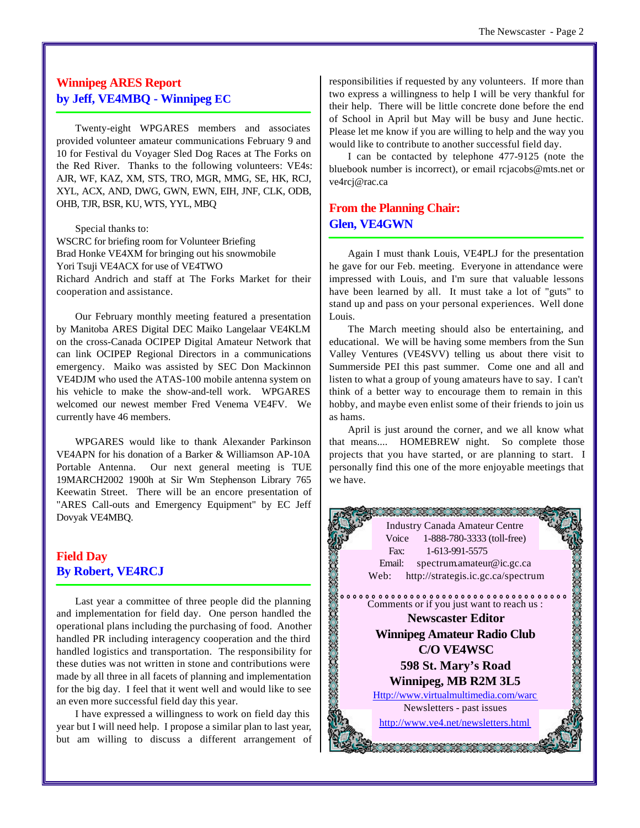#### **Winnipeg ARES Report by Jeff, VE4MBQ - Winnipeg EC**

Twenty-eight WPGARES members and associates provided volunteer amateur communications February 9 and 10 for Festival du Voyager Sled Dog Races at The Forks on the Red River. Thanks to the following volunteers: VE4s: AJR, WF, KAZ, XM, STS, TRO, MGR, MMG, SE, HK, RCJ, XYL, ACX, AND, DWG, GWN, EWN, EIH, JNF, CLK, ODB, OHB, TJR, BSR, KU, WTS, YYL, MBQ

Special thanks to:

WSCRC for briefing room for Volunteer Briefing Brad Honke VE4XM for bringing out his snowmobile Yori Tsuji VE4ACX for use of VE4TWO Richard Andrich and staff at The Forks Market for their cooperation and assistance.

Our February monthly meeting featured a presentation by Manitoba ARES Digital DEC Maiko Langelaar VE4KLM on the cross-Canada OCIPEP Digital Amateur Network that can link OCIPEP Regional Directors in a communications emergency. Maiko was assisted by SEC Don Mackinnon VE4DJM who used the ATAS-100 mobile antenna system on his vehicle to make the show-and-tell work. WPGARES welcomed our newest member Fred Venema VE4FV. We currently have 46 members.

WPGARES would like to thank Alexander Parkinson VE4APN for his donation of a Barker & Williamson AP-10A Portable Antenna. Our next general meeting is TUE 19MARCH2002 1900h at Sir Wm Stephenson Library 765 Keewatin Street. There will be an encore presentation of "ARES Call-outs and Emergency Equipment" by EC Jeff Dovyak VE4MBQ.

#### **Field Day By Robert, VE4RCJ**

Last year a committee of three people did the planning and implementation for field day. One person handled the operational plans including the purchasing of food. Another handled PR including interagency cooperation and the third handled logistics and transportation. The responsibility for these duties was not written in stone and contributions were made by all three in all facets of planning and implementation for the big day. I feel that it went well and would like to see an even more successful field day this year.

I have expressed a willingness to work on field day this year but I will need help. I propose a similar plan to last year, but am willing to discuss a different arrangement of responsibilities if requested by any volunteers. If more than two express a willingness to help I will be very thankful for their help. There will be little concrete done before the end of School in April but May will be busy and June hectic. Please let me know if you are willing to help and the way you would like to contribute to another successful field day.

I can be contacted by telephone 477-9125 (note the bluebook number is incorrect), or email rcjacobs@mts.net or ve4rcj@rac.ca

#### **From the Planning Chair: Glen, VE4GWN**

Again I must thank Louis, VE4PLJ for the presentation he gave for our Feb. meeting. Everyone in attendance were impressed with Louis, and I'm sure that valuable lessons have been learned by all. It must take a lot of "guts" to stand up and pass on your personal experiences. Well done Louis.

The March meeting should also be entertaining, and educational. We will be having some members from the Sun Valley Ventures (VE4SVV) telling us about there visit to Summerside PEI this past summer. Come one and all and listen to what a group of young amateurs have to say. I can't think of a better way to encourage them to remain in this hobby, and maybe even enlist some of their friends to join us as hams.

April is just around the corner, and we all know what that means.... HOMEBREW night. So complete those projects that you have started, or are planning to start. I personally find this one of the more enjoyable meetings that we have.

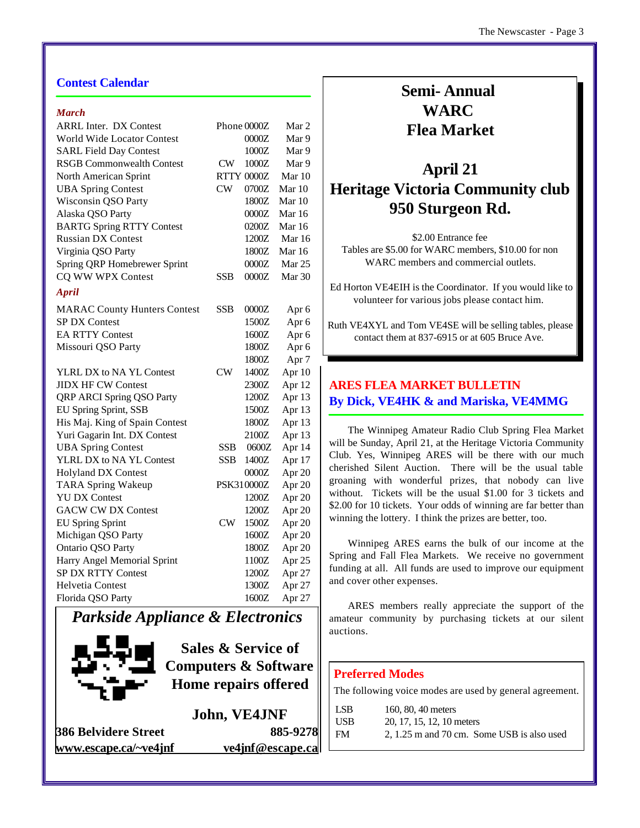#### *March*

| <b>ARRL Inter. DX Contest</b>       |            | Phone 0000Z       | Mar 2            |
|-------------------------------------|------------|-------------------|------------------|
| World Wide Locator Contest          |            | 0000Z             | Mar 9            |
| <b>SARL Field Day Contest</b>       |            | 1000Z             | Mar 9            |
| <b>RSGB Commonwealth Contest</b>    | CW         | 1000Z             | Mar 9            |
| North American Sprint               |            | <b>RTTY 0000Z</b> | Mar $10$         |
| <b>UBA Spring Contest</b>           | CW         | 0700Z             | Mar 10           |
| Wisconsin QSO Party                 |            | 1800Z             | Mar 10           |
| Alaska QSO Party                    |            | 0000Z             | Mar 16           |
| <b>BARTG Spring RTTY Contest</b>    |            | 0200Z             | Mar 16           |
| <b>Russian DX Contest</b>           |            | 1200Z             | Mar 16           |
| Virginia QSO Party                  |            | 1800Z             | Mar 16           |
| Spring QRP Homebrewer Sprint        |            | 0000Z             | Mar $25$         |
| CQ WW WPX Contest                   | SSB        | 0000Z             | Mar 30           |
| <b>April</b>                        |            |                   |                  |
|                                     |            |                   |                  |
| <b>MARAC County Hunters Contest</b> | SSB        | 0000Z             | Apr 6            |
| <b>SP DX Contest</b>                |            | 1500Z             | Apr 6            |
| <b>EA RTTY Contest</b>              |            | 1600Z             | Apr 6            |
| Missouri QSO Party                  |            | 1800Z             | Apr 6            |
|                                     |            | 1800Z             | Apr <sub>7</sub> |
| YLRL DX to NA YL Contest            | CW         | 1400Z             | Apr 10           |
| <b>JIDX HF CW Contest</b>           |            | 2300Z             | Apr 12           |
| QRP ARCI Spring QSO Party           |            | 1200Z             | Apr 13           |
| EU Spring Sprint, SSB               |            | 1500Z             | Apr 13           |
| His Maj. King of Spain Contest      |            | 1800Z             | Apr 13           |
| Yuri Gagarin Int. DX Contest        |            | 2100Z             | Apr 13           |
| <b>UBA Spring Contest</b>           | <b>SSB</b> | 0600Z             | Apr 14           |
| YLRL DX to NA YL Contest            | <b>SSB</b> | 1400Z             | Apr 17           |
| <b>Holyland DX Contest</b>          |            | 0000Z             | Apr 20           |
| <b>TARA Spring Wakeup</b>           |            | PSK310000Z        | Apr 20           |
| <b>YU DX Contest</b>                |            | 1200Z             | Apr 20           |
| <b>GACW CW DX Contest</b>           |            | 1200Z             | Apr 20           |
| <b>EU Spring Sprint</b>             | CW         | 1500Z             | Apr 20           |
| Michigan QSO Party                  |            | 1600Z             | Apr 20           |
| Ontario QSO Party                   |            | 1800Z             | Apr 20           |
| Harry Angel Memorial Sprint         |            | 1100Z             | Apr 25           |
| <b>SP DX RTTY Contest</b>           |            | 1200Z             | Apr 27           |
| <b>Helvetia Contest</b>             |            | 1300Z             | Apr 27           |
| Florida QSO Party                   |            | 1600Z             | Apr 27           |

## *Parkside Appliance & Electronics*



**Sales & Service of Computers & Software Home repairs offered**

**John, VE4JNF 386 Belvidere Street 885-9278 www.escape.ca/~ve4jnf ve4jnf@escape.ca**

## **Semi- Annual WARC Flea Market**

## **April 21 Heritage Victoria Community club 950 Sturgeon Rd.**

\$2.00 Entrance fee Tables are \$5.00 for WARC members, \$10.00 for non WARC members and commercial outlets.

 Ed Horton VE4EIH is the Coordinator. If you would like to volunteer for various jobs please contact him.

Ruth VE4XYL and Tom VE4SE will be selling tables, please contact them at 837-6915 or at 605 Bruce Ave.

### **ARES FLEA MARKET BULLETIN By Dick, VE4HK & and Mariska, VE4MMG**

The Winnipeg Amateur Radio Club Spring Flea Market will be Sunday, April 21, at the Heritage Victoria Community Club. Yes, Winnipeg ARES will be there with our much cherished Silent Auction. There will be the usual table groaning with wonderful prizes, that nobody can live without. Tickets will be the usual \$1.00 for 3 tickets and \$2.00 for 10 tickets. Your odds of winning are far better than winning the lottery. I think the prizes are better, too.

Winnipeg ARES earns the bulk of our income at the Spring and Fall Flea Markets. We receive no government funding at all. All funds are used to improve our equipment and cover other expenses.

ARES members really appreciate the support of the amateur community by purchasing tickets at our silent auctions.

#### **Preferred Modes**

The following voice modes are used by general agreement.

| LSB.      | 160, 80, 40 meters                         |
|-----------|--------------------------------------------|
| USB.      | 20, 17, 15, 12, 10 meters                  |
| <b>FM</b> | 2, 1.25 m and 70 cm. Some USB is also used |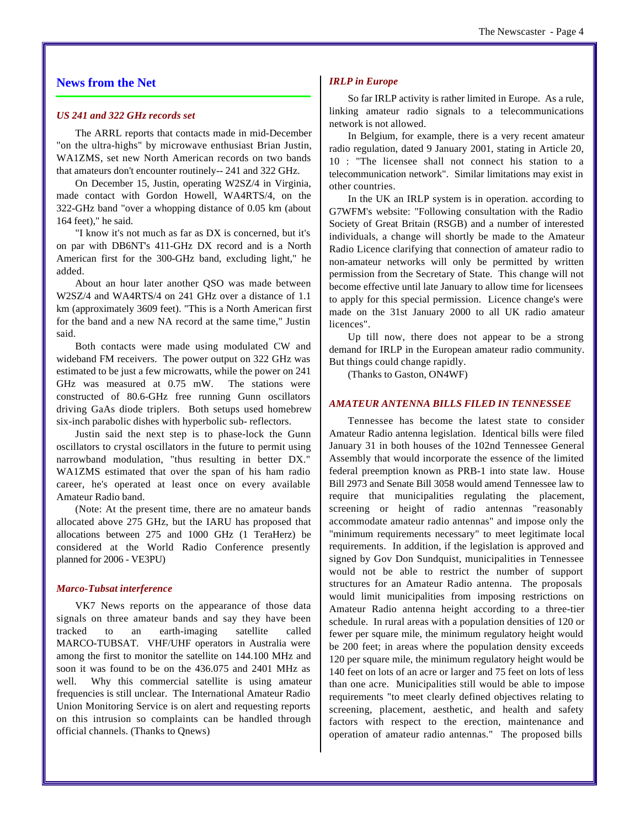#### **News from the Net**

#### *US 241 and 322 GHz records set*

The ARRL reports that contacts made in mid-December "on the ultra-highs" by microwave enthusiast Brian Justin, WA1ZMS, set new North American records on two bands that amateurs don't encounter routinely-- 241 and 322 GHz.

On December 15, Justin, operating W2SZ/4 in Virginia, made contact with Gordon Howell, WA4RTS/4, on the 322-GHz band "over a whopping distance of 0.05 km (about 164 feet)," he said.

"I know it's not much as far as DX is concerned, but it's on par with DB6NT's 411-GHz DX record and is a North American first for the 300-GHz band, excluding light," he added.

About an hour later another QSO was made between W2SZ/4 and WA4RTS/4 on 241 GHz over a distance of 1.1 km (approximately 3609 feet). "This is a North American first for the band and a new NA record at the same time," Justin said.

Both contacts were made using modulated CW and wideband FM receivers. The power output on 322 GHz was estimated to be just a few microwatts, while the power on 241 GHz was measured at 0.75 mW. The stations were constructed of 80.6-GHz free running Gunn oscillators driving GaAs diode triplers. Both setups used homebrew six-inch parabolic dishes with hyperbolic sub- reflectors.

Justin said the next step is to phase-lock the Gunn oscillators to crystal oscillators in the future to permit using narrowband modulation, "thus resulting in better DX." WA1ZMS estimated that over the span of his ham radio career, he's operated at least once on every available Amateur Radio band.

(Note: At the present time, there are no amateur bands allocated above 275 GHz, but the IARU has proposed that allocations between 275 and 1000 GHz (1 TeraHerz) be considered at the World Radio Conference presently planned for 2006 - VE3PU)

#### *Marco-Tubsat interference*

VK7 News reports on the appearance of those data signals on three amateur bands and say they have been tracked to an earth-imaging satellite called MARCO-TUBSAT. VHF/UHF operators in Australia were among the first to monitor the satellite on 144.100 MHz and soon it was found to be on the 436.075 and 2401 MHz as well. Why this commercial satellite is using amateur frequencies is still unclear. The International Amateur Radio Union Monitoring Service is on alert and requesting reports on this intrusion so complaints can be handled through official channels. (Thanks to Qnews)

#### *IRLP in Europe*

So far IRLP activity is rather limited in Europe. As a rule, linking amateur radio signals to a telecommunications network is not allowed.

In Belgium, for example, there is a very recent amateur radio regulation, dated 9 January 2001, stating in Article 20, 10 : "The licensee shall not connect his station to a telecommunication network". Similar limitations may exist in other countries.

In the UK an IRLP system is in operation. according to G7WFM's website: "Following consultation with the Radio Society of Great Britain (RSGB) and a number of interested individuals, a change will shortly be made to the Amateur Radio Licence clarifying that connection of amateur radio to non-amateur networks will only be permitted by written permission from the Secretary of State. This change will not become effective until late January to allow time for licensees to apply for this special permission. Licence change's were made on the 31st January 2000 to all UK radio amateur licences".

Up till now, there does not appear to be a strong demand for IRLP in the European amateur radio community. But things could change rapidly.

(Thanks to Gaston, ON4WF)

#### *AMATEUR ANTENNA BILLS FILED IN TENNESSEE*

Tennessee has become the latest state to consider Amateur Radio antenna legislation. Identical bills were filed January 31 in both houses of the 102nd Tennessee General Assembly that would incorporate the essence of the limited federal preemption known as PRB-1 into state law. House Bill 2973 and Senate Bill 3058 would amend Tennessee law to require that municipalities regulating the placement, screening or height of radio antennas "reasonably accommodate amateur radio antennas" and impose only the "minimum requirements necessary" to meet legitimate local requirements. In addition, if the legislation is approved and signed by Gov Don Sundquist, municipalities in Tennessee would not be able to restrict the number of support structures for an Amateur Radio antenna. The proposals would limit municipalities from imposing restrictions on Amateur Radio antenna height according to a three-tier schedule. In rural areas with a population densities of 120 or fewer per square mile, the minimum regulatory height would be 200 feet; in areas where the population density exceeds 120 per square mile, the minimum regulatory height would be 140 feet on lots of an acre or larger and 75 feet on lots of less than one acre. Municipalities still would be able to impose requirements "to meet clearly defined objectives relating to screening, placement, aesthetic, and health and safety factors with respect to the erection, maintenance and operation of amateur radio antennas." The proposed bills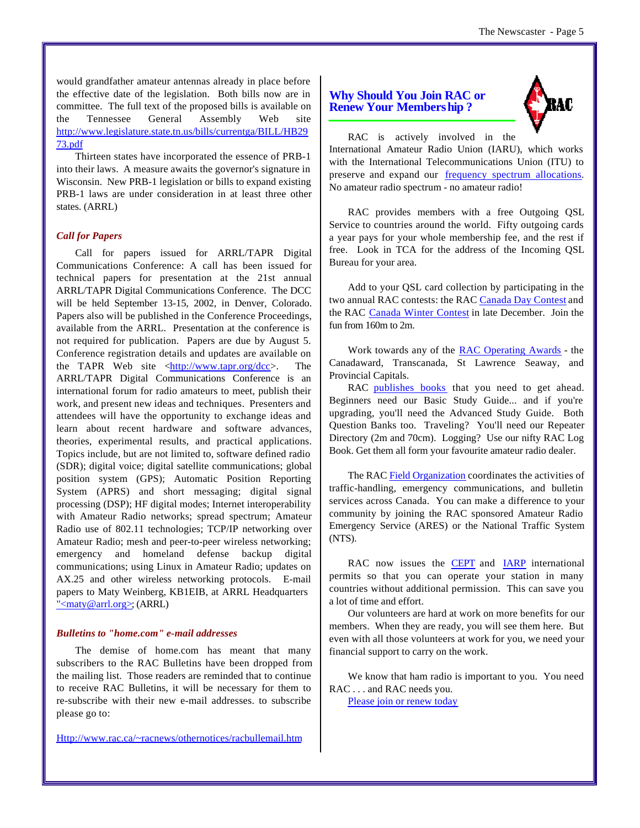would grandfather amateur antennas already in place before the effective date of the legislation. Both bills now are in committee. The full text of the proposed bills is available on the Tennessee General Assembly Web site http://www.legislature.state.tn.us/bills/currentga/BILL/HB29 73.pdf

Thirteen states have incorporated the essence of PRB-1 into their laws. A measure awaits the governor's signature in Wisconsin. New PRB-1 legislation or bills to expand existing PRB-1 laws are under consideration in at least three other states. (ARRL)

#### *Call for Papers*

Call for papers issued for ARRL/TAPR Digital Communications Conference: A call has been issued for technical papers for presentation at the 21st annual ARRL/TAPR Digital Communications Conference. The DCC will be held September 13-15, 2002, in Denver, Colorado. Papers also will be published in the Conference Proceedings, available from the ARRL. Presentation at the conference is not required for publication. Papers are due by August 5. Conference registration details and updates are available on the TAPR Web site  $\frac{\text{http://www.tapr.org/dcc}{\text{http://www.tapr.org/dcc}{\text{...}}}$ . The ARRL/TAPR Digital Communications Conference is an international forum for radio amateurs to meet, publish their work, and present new ideas and techniques. Presenters and attendees will have the opportunity to exchange ideas and learn about recent hardware and software advances, theories, experimental results, and practical applications. Topics include, but are not limited to, software defined radio (SDR); digital voice; digital satellite communications; global position system (GPS); Automatic Position Reporting System (APRS) and short messaging; digital signal processing (DSP); HF digital modes; Internet interoperability with Amateur Radio networks; spread spectrum; Amateur Radio use of 802.11 technologies; TCP/IP networking over Amateur Radio; mesh and peer-to-peer wireless networking; emergency and homeland defense backup digital communications; using Linux in Amateur Radio; updates on AX.25 and other wireless networking protocols. E-mail papers to Maty Weinberg, KB1EIB, at ARRL Headquarters "<maty@arrl.org>; (ARRL)

#### *Bulletins to "home.com" e-mail addresses*

The demise of home.com has meant that many subscribers to the RAC Bulletins have been dropped from the mailing list. Those readers are reminded that to continue to receive RAC Bulletins, it will be necessary for them to re-subscribe with their new e-mail addresses. to subscribe please go to:

Http://www.rac.ca/~racnews/othernotices/racbullemail.htm

#### **Why Should You Join RAC or Renew Your Membership ?**



RAC is actively involved in the International Amateur Radio Union (IARU), which works with the International Telecommunications Union (ITU) to preserve and expand our frequency spectrum allocations. No amateur radio spectrum - no amateur radio!

RAC provides members with a free Outgoing QSL Service to countries around the world. Fifty outgoing cards a year pays for your whole membership fee, and the rest if free. Look in TCA for the address of the Incoming QSL Bureau for your area.

Add to your QSL card collection by participating in the two annual RAC contests: the RAC Canada Day Contest and the RAC Canada Winter Contest in late December. Join the fun from 160m to 2m.

Work towards any of the RAC Operating Awards - the Canadaward, Transcanada, St Lawrence Seaway, and Provincial Capitals.

RAC publishes books that you need to get ahead. Beginners need our Basic Study Guide... and if you're upgrading, you'll need the Advanced Study Guide. Both Question Banks too. Traveling? You'll need our Repeater Directory (2m and 70cm). Logging? Use our nifty RAC Log Book. Get them all form your favourite amateur radio dealer.

The RAC Field Organization coordinates the activities of traffic-handling, emergency communications, and bulletin services across Canada. You can make a difference to your community by joining the RAC sponsored Amateur Radio Emergency Service (ARES) or the National Traffic System (NTS).

RAC now issues the **CEPT** and **IARP** international permits so that you can operate your station in many countries without additional permission. This can save you a lot of time and effort.

Our volunteers are hard at work on more benefits for our members. When they are ready, you will see them here. But even with all those volunteers at work for you, we need your financial support to carry on the work.

We know that ham radio is important to you. You need RAC . . . and RAC needs you.

Please join or renew today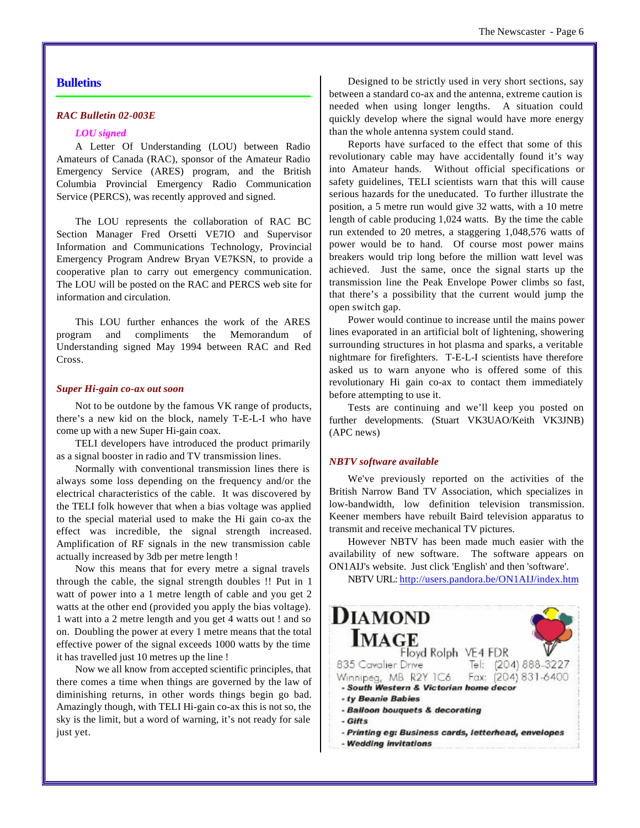#### **Bulletins**

#### *RAC Bulletin 02-003E*

#### *LOU signed*

A Letter Of Understanding (LOU) between Radio Amateurs of Canada (RAC), sponsor of the Amateur Radio Emergency Service (ARES) program, and the British Columbia Provincial Emergency Radio Communication Service (PERCS), was recently approved and signed.

The LOU represents the collaboration of RAC BC Section Manager Fred Orsetti VE7IO and Supervisor Information and Communications Technology, Provincial Emergency Program Andrew Bryan VE7KSN, to provide a cooperative plan to carry out emergency communication. The LOU will be posted on the RAC and PERCS web site for information and circulation.

This LOU further enhances the work of the ARES program and compliments the Memorandum of Understanding signed May 1994 between RAC and Red Cross.

#### *Super Hi-gain co-ax out soon*

Not to be outdone by the famous VK range of products, there's a new kid on the block, namely T-E-L-I who have come up with a new Super Hi-gain coax.

TELI developers have introduced the product primarily as a signal booster in radio and TV transmission lines.

Normally with conventional transmission lines there is always some loss depending on the frequency and/or the electrical characteristics of the cable. It was discovered by the TELI folk however that when a bias voltage was applied to the special material used to make the Hi gain co-ax the effect was incredible, the signal strength increased. Amplification of RF signals in the new transmission cable actually increased by 3db per metre length !

Now this means that for every metre a signal travels through the cable, the signal strength doubles !! Put in 1 watt of power into a 1 metre length of cable and you get 2 watts at the other end (provided you apply the bias voltage). 1 watt into a 2 metre length and you get 4 watts out ! and so on. Doubling the power at every 1 metre means that the total effective power of the signal exceeds 1000 watts by the time it has travelled just 10 metres up the line !

Now we all know from accepted scientific principles, that there comes a time when things are governed by the law of diminishing returns, in other words things begin go bad. Amazingly though, with TELI Hi-gain co-ax this is not so, the sky is the limit, but a word of warning, it's not ready for sale just yet.

Designed to be strictly used in very short sections, say between a standard co-ax and the antenna, extreme caution is needed when using longer lengths. A situation could quickly develop where the signal would have more energy than the whole antenna system could stand.

Reports have surfaced to the effect that some of this revolutionary cable may have accidentally found it's way into Amateur hands. Without official specifications or safety guidelines, TELI scientists warn that this will cause serious hazards for the uneducated. To further illustrate the position, a 5 metre run would give 32 watts, with a 10 metre length of cable producing 1,024 watts. By the time the cable run extended to 20 metres, a staggering 1,048,576 watts of power would be to hand. Of course most power mains breakers would trip long before the million watt level was achieved. Just the same, once the signal starts up the transmission line the Peak Envelope Power climbs so fast, that there's a possibility that the current would jump the open switch gap.

Power would continue to increase until the mains power lines evaporated in an artificial bolt of lightening, showering surrounding structures in hot plasma and sparks, a veritable nightmare for firefighters. T-E-L-I scientists have therefore asked us to warn anyone who is offered some of this revolutionary Hi gain co-ax to contact them immediately before attempting to use it.

Tests are continuing and we'll keep you posted on further developments. (Stuart VK3UAO/Keith VK3JNB) (APC news)

#### *NBTV software available*

We've previously reported on the activities of the British Narrow Band TV Association, which specializes in low-bandwidth, low definition television transmission. Keener members have rebuilt Baird television apparatus to transmit and receive mechanical TV pictures.

However NBTV has been made much easier with the availability of new software. The software appears on ON1AIJ's website. Just click 'English' and then 'software'.

NBTV URL: http://users.pandora.be/ON1AIJ/index.htm

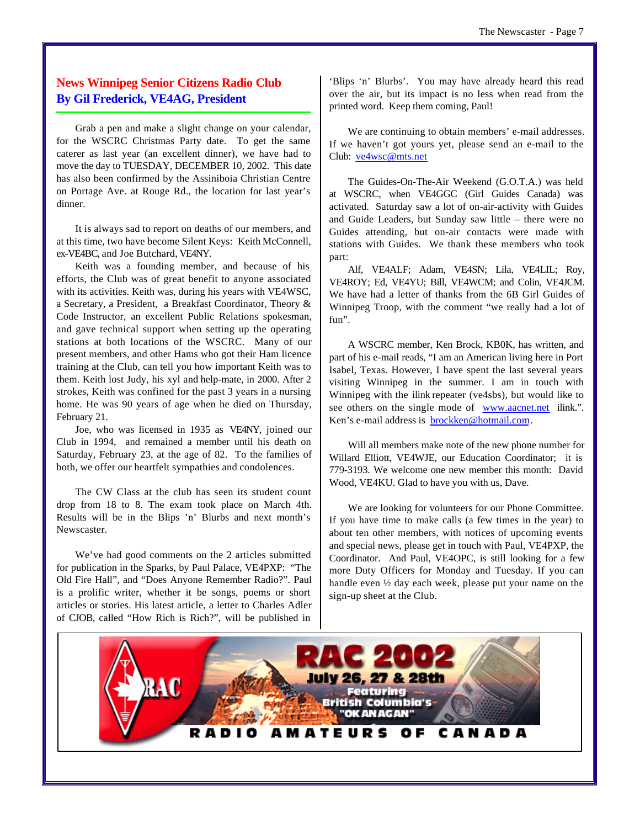#### **News Winnipeg Senior Citizens Radio Club By Gil Frederick, VE4AG, President**

Grab a pen and make a slight change on your calendar, for the WSCRC Christmas Party date. To get the same caterer as last year (an excellent dinner), we have had to move the day to TUESDAY, DECEMBER 10, 2002. This date has also been confirmed by the Assiniboia Christian Centre on Portage Ave. at Rouge Rd., the location for last year's dinner.

It is always sad to report on deaths of our members, and at this time, two have become Silent Keys: Keith McConnell, ex-VE4BC, and Joe Butchard, VE4NY.

Keith was a founding member, and because of his efforts, the Club was of great benefit to anyone associated with its activities. Keith was, during his years with VE4WSC, a Secretary, a President, a Breakfast Coordinator, Theory & Code Instructor, an excellent Public Relations spokesman, and gave technical support when setting up the operating stations at both locations of the WSCRC. Many of our present members, and other Hams who got their Ham licence training at the Club, can tell you how important Keith was to them. Keith lost Judy, his xyl and help-mate, in 2000. After 2 strokes, Keith was confined for the past 3 years in a nursing home. He was 90 years of age when he died on Thursday, February 21.

Joe, who was licensed in 1935 as VE4NY, joined our Club in 1994, and remained a member until his death on Saturday, February 23, at the age of 82. To the families of both, we offer our heartfelt sympathies and condolences.

The CW Class at the club has seen its student count drop from 18 to 8. The exam took place on March 4th. Results will be in the Blips 'n' Blurbs and next month's Newscaster.

We've had good comments on the 2 articles submitted for publication in the Sparks, by Paul Palace, VE4PXP: "The Old Fire Hall", and "Does Anyone Remember Radio?". Paul is a prolific writer, whether it be songs, poems or short articles or stories. His latest article, a letter to Charles Adler of CJOB, called "How Rich is Rich?", will be published in

'Blips 'n' Blurbs'. You may have already heard this read over the air, but its impact is no less when read from the printed word. Keep them coming, Paul!

We are continuing to obtain members' e-mail addresses. If we haven't got yours yet, please send an e-mail to the Club: ve4wsc@mts.net

The Guides-On-The-Air Weekend (G.O.T.A.) was held at WSCRC, when VE4GGC (Girl Guides Canada) was activated. Saturday saw a lot of on-air-activity with Guides and Guide Leaders, but Sunday saw little – there were no Guides attending, but on-air contacts were made with stations with Guides. We thank these members who took part:

Alf, VE4ALF; Adam, VE4SN; Lila, VE4LIL; Roy, VE4ROY; Ed, VE4YU; Bill, VE4WCM; and Colin, VE4JCM. We have had a letter of thanks from the 6B Girl Guides of Winnipeg Troop, with the comment "we really had a lot of fun".

A WSCRC member, Ken Brock, KB0K, has written, and part of his e-mail reads, "I am an American living here in Port Isabel, Texas. However, I have spent the last several years visiting Winnipeg in the summer. I am in touch with Winnipeg with the ilink repeater (ve4sbs), but would like to see others on the single mode of www.aacnet.net ilink.". Ken's e-mail address is **brockken@hotmail.com**.

Will all members make note of the new phone number for Willard Elliott, VE4WJE, our Education Coordinator; it is 779-3193. We welcome one new member this month: David Wood, VE4KU. Glad to have you with us, Dave.

We are looking for volunteers for our Phone Committee. If you have time to make calls (a few times in the year) to about ten other members, with notices of upcoming events and special news, please get in touch with Paul, VE4PXP, the Coordinator. And Paul, VE4OPC, is still looking for a few more Duty Officers for Monday and Tuesday. If you can handle even ½ day each week, please put your name on the sign-up sheet at the Club.

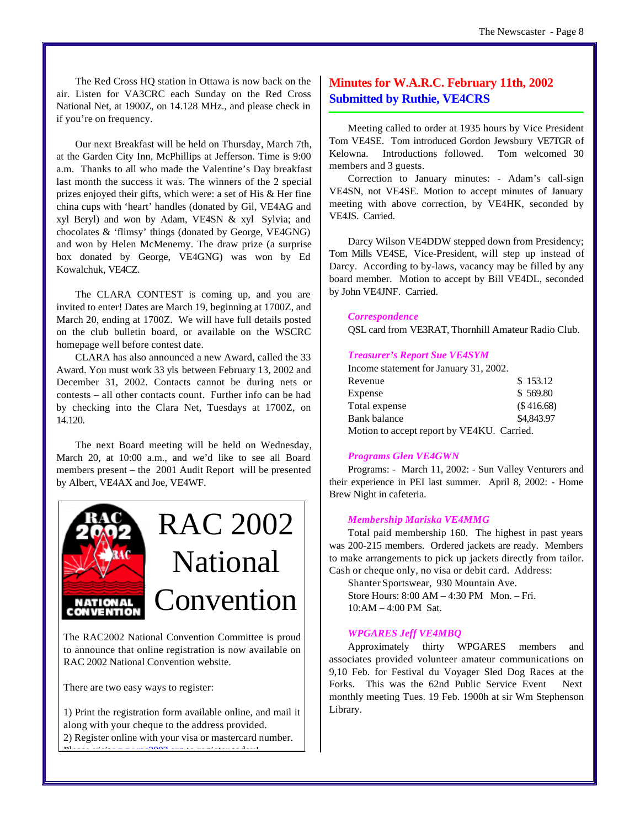The Red Cross HQ station in Ottawa is now back on the air. Listen for VA3CRC each Sunday on the Red Cross National Net, at 1900Z, on 14.128 MHz., and please check in if you're on frequency.

Our next Breakfast will be held on Thursday, March 7th, at the Garden City Inn, McPhillips at Jefferson. Time is 9:00 a.m. Thanks to all who made the Valentine's Day breakfast last month the success it was. The winners of the 2 special prizes enjoyed their gifts, which were: a set of His & Her fine china cups with 'heart' handles (donated by Gil, VE4AG and xyl Beryl) and won by Adam, VE4SN & xyl Sylvia; and chocolates & 'flimsy' things (donated by George, VE4GNG) and won by Helen McMenemy. The draw prize (a surprise box donated by George, VE4GNG) was won by Ed Kowalchuk, VE4CZ.

The CLARA CONTEST is coming up, and you are invited to enter! Dates are March 19, beginning at 1700Z, and March 20, ending at 1700Z. We will have full details posted on the club bulletin board, or available on the WSCRC homepage well before contest date.

CLARA has also announced a new Award, called the 33 Award. You must work 33 yls between February 13, 2002 and December 31, 2002. Contacts cannot be during nets or contests – all other contacts count. Further info can be had by checking into the Clara Net, Tuesdays at 1700Z, on 14.120.

The next Board meeting will be held on Wednesday, March 20, at 10:00 a.m., and we'd like to see all Board members present – the 2001 Audit Report will be presented by Albert, VE4AX and Joe, VE4WF.



The RAC2002 National Convention Committee is proud to announce that online registration is now available on RAC 2002 National Convention website.

There are two easy ways to register:

1) Print the registration form available online, and mail it along with your cheque to the address provided. 2) Register online with your visa or mastercard number. Please visit www.rac2002.org to register today!

#### **Minutes for W.A.R.C. February 11th, 2002 Submitted by Ruthie, VE4CRS**

Meeting called to order at 1935 hours by Vice President Tom VE4SE. Tom introduced Gordon Jewsbury VE7TGR of Kelowna. Introductions followed. Tom welcomed 30 members and 3 guests.

Correction to January minutes: - Adam's call-sign VE4SN, not VE4SE. Motion to accept minutes of January meeting with above correction, by VE4HK, seconded by VE4JS. Carried.

Darcy Wilson VE4DDW stepped down from Presidency; Tom Mills VE4SE, Vice-President, will step up instead of Darcy. According to by-laws, vacancy may be filled by any board member. Motion to accept by Bill VE4DL, seconded by John VE4JNF. Carried.

#### *Correspondence*

QSL card from VE3RAT, Thornhill Amateur Radio Club.

#### *Treasurer's Report Sue VE4SYM*

| Income statement for January 31, 2002.     |            |
|--------------------------------------------|------------|
| Revenue                                    | \$153.12   |
| Expense                                    | \$569.80   |
| Total expense                              | (\$416.68) |
| <b>Bank balance</b>                        | \$4,843.97 |
| Motion to accept report by VE4KU. Carried. |            |

#### *Programs Glen VE4GWN*

Programs: - March 11, 2002: - Sun Valley Venturers and their experience in PEI last summer. April 8, 2002: - Home Brew Night in cafeteria.

#### *Membership Mariska VE4MMG*

Total paid membership 160. The highest in past years was 200-215 members. Ordered jackets are ready. Members to make arrangements to pick up jackets directly from tailor. Cash or cheque only, no visa or debit card. Address:

Shanter Sportswear, 930 Mountain Ave. Store Hours: 8:00 AM – 4:30 PM Mon. – Fri. 10:AM – 4:00 PM Sat.

#### *WPGARES Jeff VE4MBQ*

Approximately thirty WPGARES members and associates provided volunteer amateur communications on 9,10 Feb. for Festival du Voyager Sled Dog Races at the Forks. This was the 62nd Public Service Event Next monthly meeting Tues. 19 Feb. 1900h at sir Wm Stephenson Library.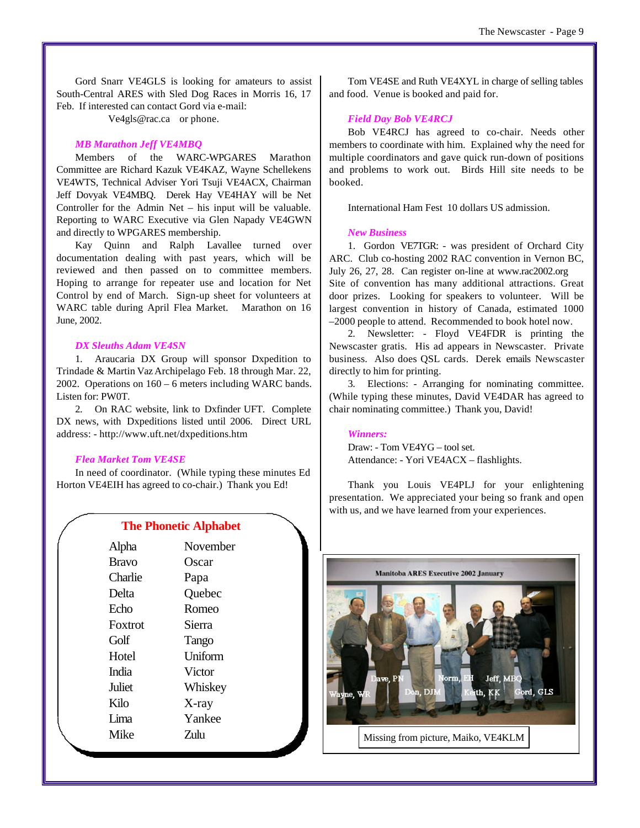Gord Snarr VE4GLS is looking for amateurs to assist South-Central ARES with Sled Dog Races in Morris 16, 17 Feb. If interested can contact Gord via e-mail:

Ve4gls@rac.ca or phone.

#### *MB Marathon Jeff VE4MBQ*

Members of the WARC-WPGARES Marathon Committee are Richard Kazuk VE4KAZ, Wayne Schellekens VE4WTS, Technical Adviser Yori Tsuji VE4ACX, Chairman Jeff Dovyak VE4MBQ. Derek Hay VE4HAY will be Net Controller for the Admin Net – his input will be valuable. Reporting to WARC Executive via Glen Napady VE4GWN and directly to WPGARES membership.

Kay Quinn and Ralph Lavallee turned over documentation dealing with past years, which will be reviewed and then passed on to committee members. Hoping to arrange for repeater use and location for Net Control by end of March. Sign-up sheet for volunteers at WARC table during April Flea Market. Marathon on 16 June, 2002.

#### *DX Sleuths Adam VE4SN*

1. Araucaria DX Group will sponsor Dxpedition to Trindade & Martin Vaz Archipelago Feb. 18 through Mar. 22, 2002. Operations on 160 – 6 meters including WARC bands. Listen for: PW0T.

2. On RAC website, link to Dxfinder UFT. Complete DX news, with Dxpeditions listed until 2006. Direct URL address: - http://www.uft.net/dxpeditions.htm

#### *Flea Market Tom VE4SE*

In need of coordinator. (While typing these minutes Ed Horton VE4EIH has agreed to co-chair.) Thank you Ed!

| <b>The Phonetic Alphabet</b> |          |  |
|------------------------------|----------|--|
| Alpha                        | November |  |
| <b>Bravo</b>                 | Oscar    |  |
| Charlie                      | Papa     |  |
| Delta                        | Quebec   |  |
| Echo                         | Romeo    |  |
| Foxtrot                      | Sierra   |  |
| Golf                         | Tango    |  |
| Hotel                        | Uniform  |  |
| <b>India</b>                 | Victor   |  |
| Juliet                       | Whiskey  |  |
| Kilo                         | $X$ -ray |  |
| Lima                         | Yankee   |  |
| Mike                         | Zulu     |  |
|                              |          |  |

Tom VE4SE and Ruth VE4XYL in charge of selling tables and food. Venue is booked and paid for.

#### *Field Day Bob VE4RCJ*

Bob VE4RCJ has agreed to co-chair. Needs other members to coordinate with him. Explained why the need for multiple coordinators and gave quick run-down of positions and problems to work out. Birds Hill site needs to be booked.

International Ham Fest 10 dollars US admission.

#### *New Business*

1. Gordon VE7TGR: - was president of Orchard City ARC. Club co-hosting 2002 RAC convention in Vernon BC, July 26, 27, 28. Can register on-line at www.rac2002.org Site of convention has many additional attractions. Great door prizes. Looking for speakers to volunteer. Will be

largest convention in history of Canada, estimated 1000 –2000 people to attend. Recommended to book hotel now.

2. Newsletter: - Floyd VE4FDR is printing the Newscaster gratis. His ad appears in Newscaster. Private business. Also does QSL cards. Derek emails Newscaster directly to him for printing.

3. Elections: - Arranging for nominating committee. (While typing these minutes, David VE4DAR has agreed to chair nominating committee.) Thank you, David!

#### *Winners:*

Draw: - Tom VE4YG – tool set. Attendance: - Yori VE4ACX – flashlights.

Thank you Louis VE4PLJ for your enlightening presentation. We appreciated your being so frank and open with us, and we have learned from your experiences.